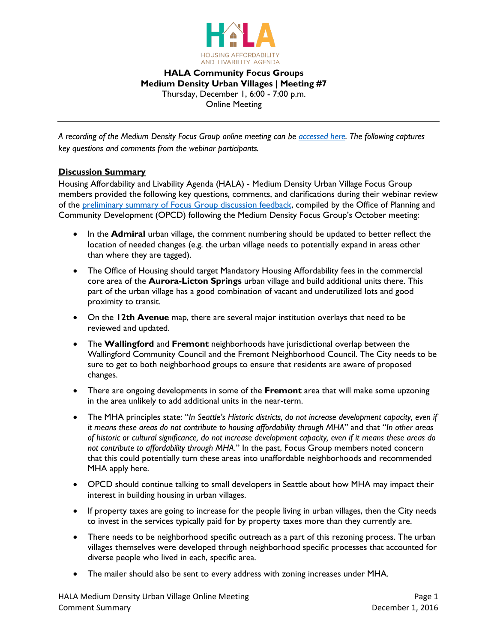

# **HALA Community Focus Groups Medium Density Urban Villages | Meeting #7** Thursday, December 1, 6:00 - 7:00 p.m. Online Meeting

*A recording of the Medium Density Focus Group online meeting can be [accessed](https://www.youtube.com/watch?v=DemVdD6m8g4&feature=youtu.be) here. The following captures key questions and comments from the webinar participants.*

# **Discussion Summary**

Housing Affordability and Livability Agenda (HALA) - Medium Density Urban Village Focus Group members provided the following key questions, comments, and clarifications during their webinar review of the [preliminary summary of Focus Group discussion feedback,](http://www.seattle.gov/Documents/Departments/HALA/FocusGroups/November/Focus%20Group%20MHA%20Summary%20Report_v5_Medium_Density.pdf) compiled by the Office of Planning and Community Development (OPCD) following the Medium Density Focus Group's October meeting:

- In the **Admiral** urban village, the comment numbering should be updated to better reflect the location of needed changes (e.g. the urban village needs to potentially expand in areas other than where they are tagged).
- The Office of Housing should target Mandatory Housing Affordability fees in the commercial core area of the **Aurora-Licton Springs** urban village and build additional units there. This part of the urban village has a good combination of vacant and underutilized lots and good proximity to transit.
- On the **12th Avenue** map, there are several major institution overlays that need to be reviewed and updated.
- The **Wallingford** and **Fremont** neighborhoods have jurisdictional overlap between the Wallingford Community Council and the Fremont Neighborhood Council. The City needs to be sure to get to both neighborhood groups to ensure that residents are aware of proposed changes.
- There are ongoing developments in some of the **Fremont** area that will make some upzoning in the area unlikely to add additional units in the near-term.
- The MHA principles state: "*In Seattle's Historic districts, do not increase development capacity, even if it means these areas do not contribute to housing affordability through MHA*" and that "*In other areas of historic or cultural significance, do not increase development capacity, even if it means these areas do not contribute to affordability through MHA*." In the past, Focus Group members noted concern that this could potentially turn these areas into unaffordable neighborhoods and recommended MHA apply here.
- OPCD should continue talking to small developers in Seattle about how MHA may impact their interest in building housing in urban villages.
- If property taxes are going to increase for the people living in urban villages, then the City needs to invest in the services typically paid for by property taxes more than they currently are.
- There needs to be neighborhood specific outreach as a part of this rezoning process. The urban villages themselves were developed through neighborhood specific processes that accounted for diverse people who lived in each, specific area.
- The mailer should also be sent to every address with zoning increases under MHA.

HALA Medium Density Urban Village Online Meeting **Page 1** and 2008 and 2011 and 2012 and 2013 Comment Summary December 1, 2016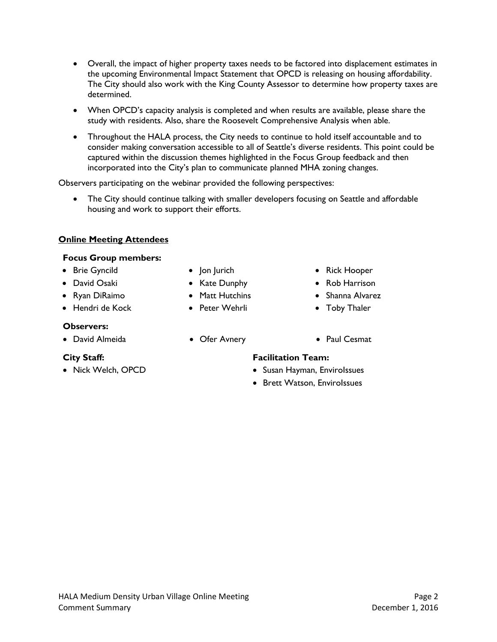- Overall, the impact of higher property taxes needs to be factored into displacement estimates in the upcoming Environmental Impact Statement that OPCD is releasing on housing affordability. The City should also work with the King County Assessor to determine how property taxes are determined.
- When OPCD's capacity analysis is completed and when results are available, please share the study with residents. Also, share the Roosevelt Comprehensive Analysis when able.
- Throughout the HALA process, the City needs to continue to hold itself accountable and to consider making conversation accessible to all of Seattle's diverse residents. This point could be captured within the discussion themes highlighted in the Focus Group feedback and then incorporated into the City's plan to communicate planned MHA zoning changes.

Observers participating on the webinar provided the following perspectives:

• The City should continue talking with smaller developers focusing on Seattle and affordable housing and work to support their efforts.

# **Online Meeting Attendees**

#### **Focus Group members:**

- 
- 
- 
- Hendri de Kock Peter Wehrli Toby Thaler

# **Observers:**

• David Almeida Ofer Avnery Paul Cesmat

- 
- 
- 
- 
- 
- Brie Gyncild Jon Jurich Rick Hooper
- David Osaki Kate Dunphy Rob Harrison
- Ryan DiRaimo Matt Hutchins Shanna Alvarez
	-
	-

# **City Staff: Facilitation Team:**

- Nick Welch, OPCD Susan Hayman, EnviroIssues
	- Brett Watson, Envirolssues